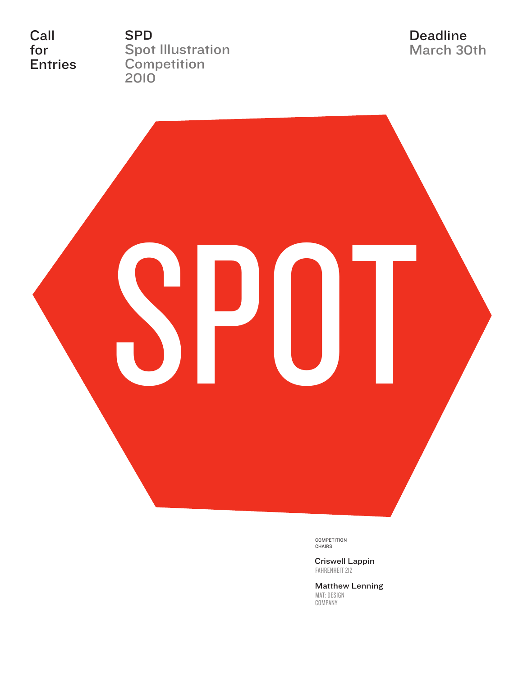Call for Entries SPD Spot Illustration **Competition** 2010

Deadline March 30th



COMPETITION CHAIRS

Criswell Lappin FAHRENHEIT 212

Matthew Lenning MAT: DESIGN COMPANY